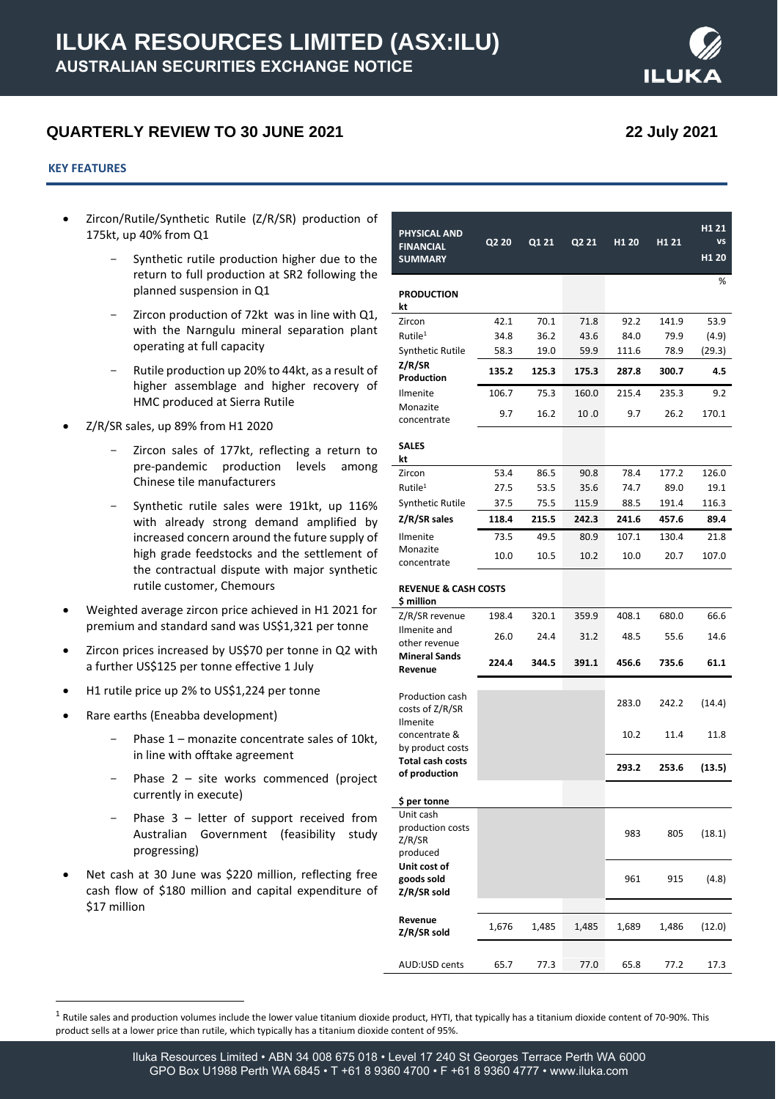# **QUARTERLY REVIEW TO 30 JUNE 2021 22 July 2021**

#### **KEY FEATURES**

- Zircon/Rutile/Synthetic Rutile (Z/R/SR) production of 175kt, up 40% from Q1
	- Synthetic rutile production higher due to the return to full production at SR2 following the planned suspension in Q1
	- Zircon production of 72kt was in line with Q1, with the Narngulu mineral separation plant operating at full capacity
	- Rutile production up 20% to 44kt, as a result of higher assemblage and higher recovery of HMC produced at Sierra Rutile
- Z/R/SR sales, up 89% from H1 2020
	- Zircon sales of 177kt, reflecting a return to pre-pandemic production levels among Chinese tile manufacturers
	- Synthetic rutile sales were 191kt, up 116% with already strong demand amplified by increased concern around the future supply of high grade feedstocks and the settlement of the contractual dispute with major synthetic rutile customer, Chemours
- Weighted average zircon price achieved in H1 2021 for premium and standard sand was US\$1,321 per tonne
- Zircon prices increased by US\$70 per tonne in Q2 with a further US\$125 per tonne effective 1 July
- H1 rutile price up 2% to US\$1,224 per tonne
- Rare earths (Eneabba development)
	- Phase  $1$  monazite concentrate sales of 10kt, in line with offtake agreement
	- Phase  $2$  site works commenced (project currently in execute)
	- Phase  $3$  letter of support received from Australian Government (feasibility study progressing)
- Net cash at 30 June was \$220 million, reflecting free cash flow of \$180 million and capital expenditure of \$17 million

| PHYSICAL AND<br><b>FINANCIAL</b><br><b>SUMMARY</b>  | Q2 20 | Q1 21 | Q2 21 | H <sub>1</sub> 20 | H1 21 | H <sub>1</sub> 21<br><b>VS</b><br>H <sub>1</sub> 20 |
|-----------------------------------------------------|-------|-------|-------|-------------------|-------|-----------------------------------------------------|
| <b>PRODUCTION</b><br>kt                             |       |       |       |                   |       | %                                                   |
| Zircon                                              | 42.1  | 70.1  | 71.8  | 92.2              | 141.9 | 53.9                                                |
| Rutile <sup>1</sup>                                 | 34.8  | 36.2  | 43.6  | 84.0              | 79.9  | (4.9)                                               |
| Synthetic Rutile                                    | 58.3  | 19.0  | 59.9  | 111.6             | 78.9  | (29.3)                                              |
| Z/R/SR<br>Production                                | 135.2 | 125.3 | 175.3 | 287.8             | 300.7 | 4.5                                                 |
| Ilmenite                                            | 106.7 | 75.3  | 160.0 | 215.4             | 235.3 | 9.2                                                 |
| Monazite<br>concentrate                             | 9.7   | 16.2  | 10.0  | 9.7               | 26.2  | 170.1                                               |
| <b>SALES</b><br>kt                                  |       |       |       |                   |       |                                                     |
| Zircon                                              | 53.4  | 86.5  | 90.8  | 78.4              | 177.2 | 126.0                                               |
| Rutile <sup>1</sup>                                 | 27.5  | 53.5  | 35.6  | 74.7              | 89.0  | 19.1                                                |
| Synthetic Rutile                                    | 37.5  | 75.5  | 115.9 | 88.5              | 191.4 | 116.3                                               |
| Z/R/SR sales                                        | 118.4 | 215.5 | 242.3 | 241.6             | 457.6 | 89.4                                                |
| Ilmenite                                            | 73.5  | 49.5  | 80.9  | 107.1             | 130.4 | 21.8                                                |
| Monazite<br>concentrate                             | 10.0  | 10.5  | 10.2  | 10.0              | 20.7  | 107.0                                               |
| <b>REVENUE &amp; CASH COSTS</b><br>\$ million       |       |       |       |                   |       |                                                     |
| Z/R/SR revenue                                      | 198.4 | 320.1 | 359.9 | 408.1             | 680.0 | 66.6                                                |
| Ilmenite and<br>other revenue                       | 26.0  | 24.4  | 31.2  | 48.5              | 55.6  | 14.6                                                |
| <b>Mineral Sands</b><br>Revenue                     | 224.4 | 344.5 | 391.1 | 456.6             | 735.6 | 61.1                                                |
| Production cash<br>costs of Z/R/SR                  |       |       |       | 283.0             | 242.2 | (14.4)                                              |
| Ilmenite<br>concentrate &<br>by product costs       |       |       |       | 10.2              | 11.4  | 11.8                                                |
| <b>Total cash costs</b><br>of production            |       |       |       | 293.2             | 253.6 | (13.5)                                              |
| \$ per tonne                                        |       |       |       |                   |       |                                                     |
| Unit cash<br>production costs<br>Z/R/SR<br>produced |       |       |       | 983               | 805   | (18.1)                                              |
| Unit cost of<br>goods sold<br>Z/R/SR sold           |       |       |       | 961               | 915   | (4.8)                                               |
| Revenue<br>Z/R/SR sold                              | 1,676 | 1,485 | 1,485 | 1,689             | 1,486 | (12.0)                                              |
| AUD:USD cents                                       | 65.7  | 77.3  | 77.0  | 65.8              | 77.2  | 17.3                                                |

<sup>&</sup>lt;sup>1</sup> Rutile sales and production volumes include the lower value titanium dioxide product, HYTI, that typically has a titanium dioxide content of 70-90%. This product sells at a lower price than rutile, which typically has a titanium dioxide content of 95%.

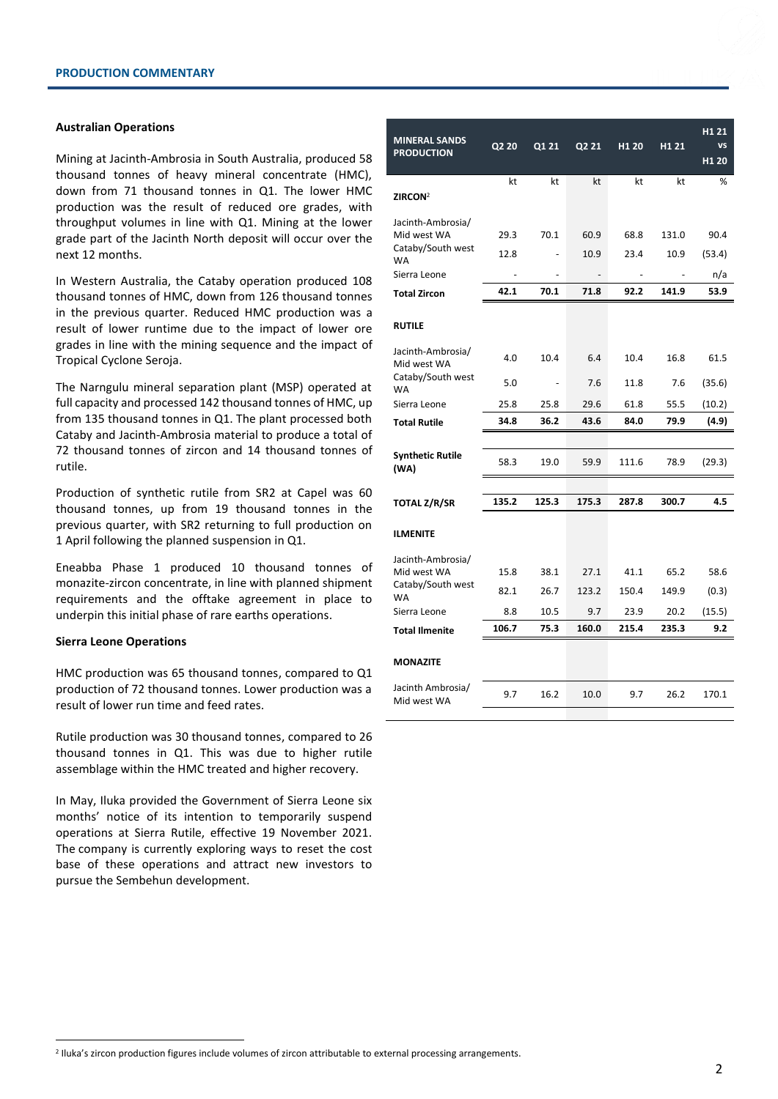#### **Australian Operations**

Mining at Jacinth-Ambrosia in South Australia, produced 58 thousand tonnes of heavy mineral concentrate (HMC), down from 71 thousand tonnes in Q1. The lower HMC production was the result of reduced ore grades, with throughput volumes in line with Q1. Mining at the lower grade part of the Jacinth North deposit will occur over the next 12 months.

In Western Australia, the Cataby operation produced 108 thousand tonnes of HMC, down from 126 thousand tonnes in the previous quarter. Reduced HMC production was a result of lower runtime due to the impact of lower ore grades in line with the mining sequence and the impact of Tropical Cyclone Seroja.

The Narngulu mineral separation plant (MSP) operated at full capacity and processed 142 thousand tonnes of HMC, up from 135 thousand tonnes in Q1. The plant processed both Cataby and Jacinth-Ambrosia material to produce a total of 72 thousand tonnes of zircon and 14 thousand tonnes of rutile.

Production of synthetic rutile from SR2 at Capel was 60 thousand tonnes, up from 19 thousand tonnes in the previous quarter, with SR2 returning to full production on 1 April following the planned suspension in Q1.

Eneabba Phase 1 produced 10 thousand tonnes of monazite-zircon concentrate, in line with planned shipment requirements and the offtake agreement in place to underpin this initial phase of rare earths operations.

#### **Sierra Leone Operations**

HMC production was 65 thousand tonnes, compared to Q1 production of 72 thousand tonnes. Lower production was a result of lower run time and feed rates.

Rutile production was 30 thousand tonnes, compared to 26 thousand tonnes in Q1. This was due to higher rutile assemblage within the HMC treated and higher recovery.

In May, Iluka provided the Government of Sierra Leone six months' notice of its intention to temporarily suspend operations at Sierra Rutile, effective 19 November 2021. The company is currently exploring ways to reset the cost base of these operations and attract new investors to pursue the Sembehun development.

| <b>MINERAL SANDS</b><br><b>PRODUCTION</b>                                          | Q2 20                | Q1 21                    | Q2 21                | H <sub>1</sub> 20    | H <sub>1</sub> 21      | H <sub>1</sub> 21<br>VS<br>H <sub>1</sub> 20 |
|------------------------------------------------------------------------------------|----------------------|--------------------------|----------------------|----------------------|------------------------|----------------------------------------------|
| ZIRCON <sup>2</sup>                                                                | kt                   | kt                       | kt                   | kt                   | kt                     | %                                            |
| Jacinth-Ambrosia/<br>Mid west WA<br>Cataby/South west<br><b>WA</b><br>Sierra Leone | 29.3<br>12.8<br>42.1 | 70.1<br>70.1             | 60.9<br>10.9<br>71.8 | 68.8<br>23.4<br>92.2 | 131.0<br>10.9<br>141.9 | 90.4<br>(53.4)<br>n/a                        |
| <b>Total Zircon</b>                                                                |                      |                          |                      |                      |                        | 53.9                                         |
| <b>RUTILE</b>                                                                      |                      |                          |                      |                      |                        |                                              |
| Jacinth-Ambrosia/<br>Mid west WA                                                   | 4.0                  | 10.4                     | 6.4                  | 10.4                 | 16.8                   | 61.5                                         |
| Cataby/South west<br><b>WA</b><br>Sierra Leone                                     | 5.0                  | $\overline{\phantom{a}}$ | 7.6                  | 11.8                 | 7.6                    | (35.6)                                       |
|                                                                                    | 25.8                 | 25.8                     | 29.6                 | 61.8                 | 55.5                   | (10.2)                                       |
| <b>Total Rutile</b>                                                                | 34.8                 | 36.2                     | 43.6                 | 84.0                 | 79.9                   | (4.9)                                        |
|                                                                                    |                      |                          |                      |                      |                        |                                              |
| <b>Synthetic Rutile</b><br>(WA)                                                    | 58.3                 | 19.0                     | 59.9                 | 111.6                | 78.9                   | (29.3)                                       |
|                                                                                    |                      |                          |                      |                      |                        |                                              |
| <b>TOTAL Z/R/SR</b>                                                                | 135.2                | 125.3                    | 175.3                | 287.8                | 300.7                  | 4.5                                          |
| <b>ILMENITE</b>                                                                    |                      |                          |                      |                      |                        |                                              |
| Jacinth-Ambrosia/                                                                  |                      |                          |                      |                      |                        |                                              |
| Mid west WA                                                                        | 15.8                 | 38.1                     | 27.1                 | 41.1                 | 65.2                   | 58.6                                         |
| Cataby/South west<br><b>WA</b>                                                     | 82.1                 | 26.7                     | 123.2                | 150.4                | 149.9                  | (0.3)                                        |
| Sierra Leone                                                                       | 8.8                  | 10.5                     | 9.7                  | 23.9                 | 20.2                   | (15.5)                                       |
| <b>Total Ilmenite</b>                                                              | 106.7                | 75.3                     | 160.0                | 215.4                | 235.3                  | 9.2                                          |
| <b>MONAZITE</b>                                                                    |                      |                          |                      |                      |                        |                                              |
| Jacinth Ambrosia/<br>Mid west WA                                                   | 9.7                  | 16.2                     | 10.0                 | 9.7                  | 26.2                   | 170.1                                        |

<sup>2</sup> Iluka's zircon production figures include volumes of zircon attributable to external processing arrangements.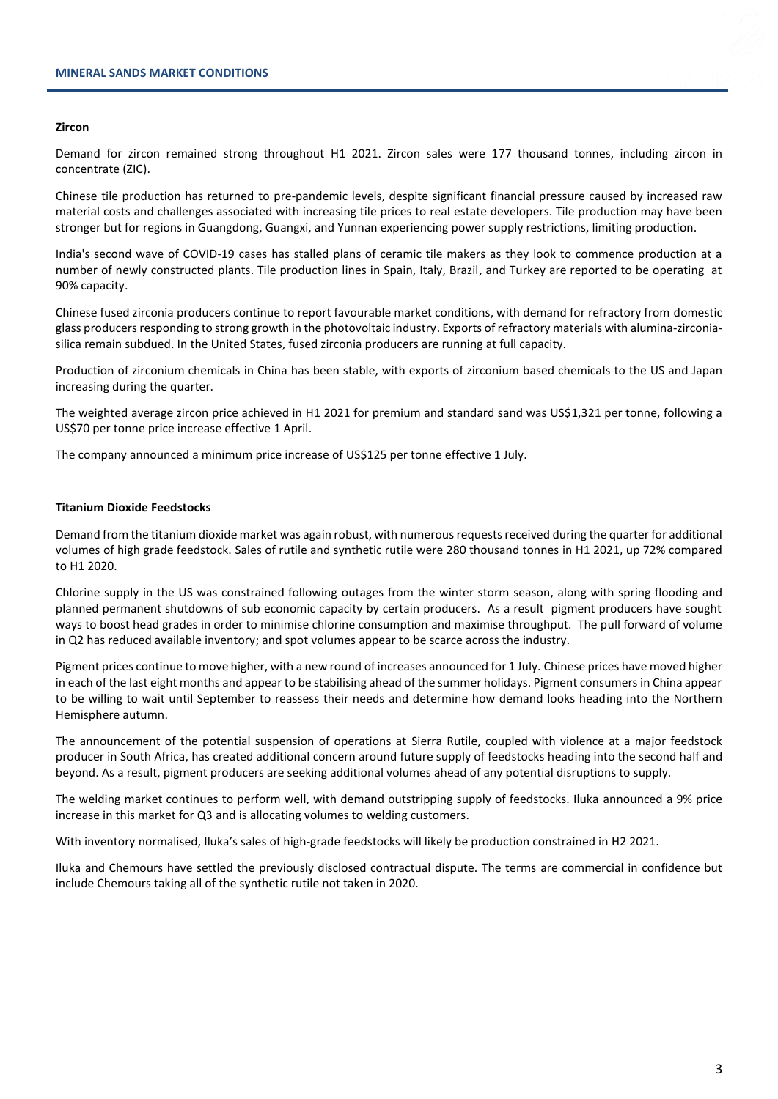#### **Zircon**

Demand for zircon remained strong throughout H1 2021. Zircon sales were 177 thousand tonnes, including zircon in concentrate (ZIC).

Chinese tile production has returned to pre-pandemic levels, despite significant financial pressure caused by increased raw material costs and challenges associated with increasing tile prices to real estate developers. Tile production may have been stronger but for regions in Guangdong, Guangxi, and Yunnan experiencing power supply restrictions, limiting production.

India's second wave of COVID-19 cases has stalled plans of ceramic tile makers as they look to commence production at a number of newly constructed plants. Tile production lines in Spain, Italy, Brazil, and Turkey are reported to be operating at 90% capacity.

Chinese fused zirconia producers continue to report favourable market conditions, with demand for refractory from domestic glass producers responding to strong growth in the photovoltaic industry. Exports of refractory materials with alumina-zirconiasilica remain subdued. In the United States, fused zirconia producers are running at full capacity.

Production of zirconium chemicals in China has been stable, with exports of zirconium based chemicals to the US and Japan increasing during the quarter.

The weighted average zircon price achieved in H1 2021 for premium and standard sand was US\$1,321 per tonne, following a US\$70 per tonne price increase effective 1 April.

The company announced a minimum price increase of US\$125 per tonne effective 1 July.

### **Titanium Dioxide Feedstocks**

Demand from the titanium dioxide market was again robust, with numerous requests received during the quarter for additional volumes of high grade feedstock. Sales of rutile and synthetic rutile were 280 thousand tonnes in H1 2021, up 72% compared to H1 2020.

Chlorine supply in the US was constrained following outages from the winter storm season, along with spring flooding and planned permanent shutdowns of sub economic capacity by certain producers. As a result pigment producers have sought ways to boost head grades in order to minimise chlorine consumption and maximise throughput. The pull forward of volume in Q2 has reduced available inventory; and spot volumes appear to be scarce across the industry.

Pigment prices continue to move higher, with a new round of increases announced for 1 July. Chinese prices have moved higher in each of the last eight months and appear to be stabilising ahead of the summer holidays. Pigment consumers in China appear to be willing to wait until September to reassess their needs and determine how demand looks heading into the Northern Hemisphere autumn.

The announcement of the potential suspension of operations at Sierra Rutile, coupled with violence at a major feedstock producer in South Africa, has created additional concern around future supply of feedstocks heading into the second half and beyond. As a result, pigment producers are seeking additional volumes ahead of any potential disruptions to supply.

The welding market continues to perform well, with demand outstripping supply of feedstocks. Iluka announced a 9% price increase in this market for Q3 and is allocating volumes to welding customers.

With inventory normalised, Iluka's sales of high-grade feedstocks will likely be production constrained in H2 2021.

Iluka and Chemours have settled the previously disclosed contractual dispute. The terms are commercial in confidence but include Chemours taking all of the synthetic rutile not taken in 2020.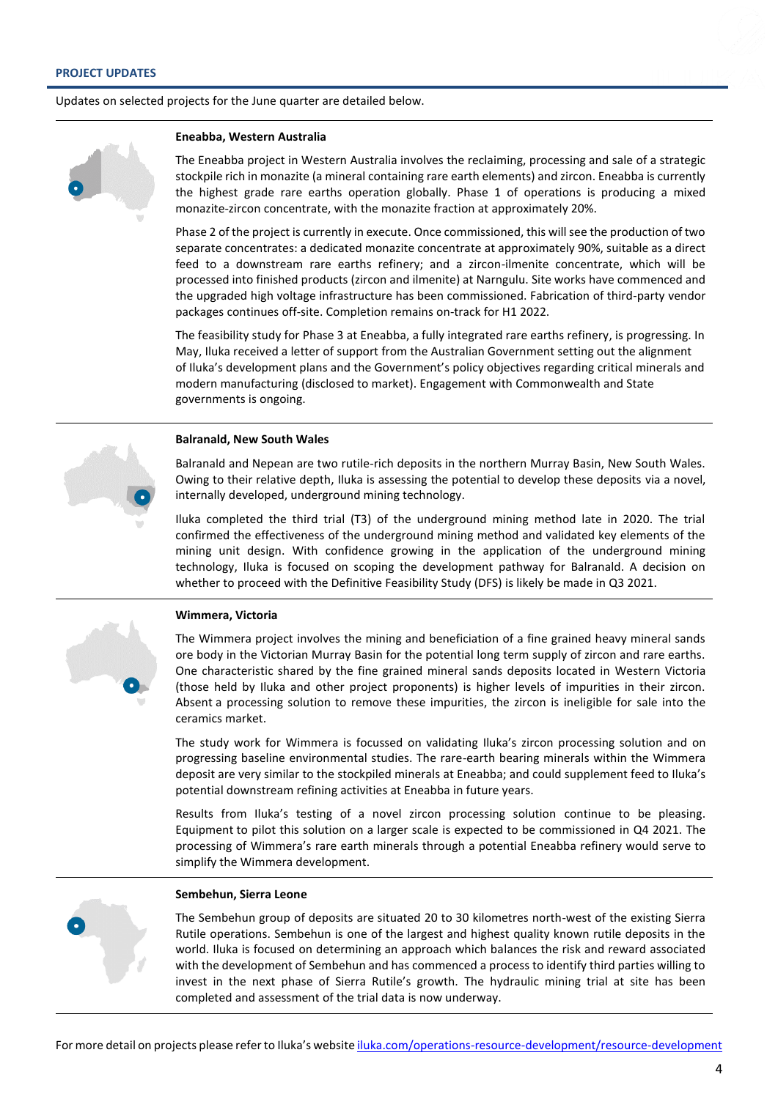Updates on selected projects for the June quarter are detailed below.

#### **Eneabba, Western Australia**

The Eneabba project in Western Australia involves the reclaiming, processing and sale of a strategic stockpile rich in monazite (a mineral containing rare earth elements) and zircon. Eneabba is currently the highest grade rare earths operation globally. Phase 1 of operations is producing a mixed monazite-zircon concentrate, with the monazite fraction at approximately 20%.

Phase 2 of the project is currently in execute. Once commissioned, this will see the production of two separate concentrates: a dedicated monazite concentrate at approximately 90%, suitable as a direct feed to a downstream rare earths refinery; and a zircon-ilmenite concentrate, which will be processed into finished products (zircon and ilmenite) at Narngulu. Site works have commenced and the upgraded high voltage infrastructure has been commissioned. Fabrication of third-party vendor packages continues off-site. Completion remains on-track for H1 2022.

The feasibility study for Phase 3 at Eneabba, a fully integrated rare earths refinery, is progressing. In May, Iluka received a letter of support from the Australian Government setting out the alignment of Iluka's development plans and the Government's policy objectives regarding critical minerals and modern manufacturing (disclosed to market). Engagement with Commonwealth and State governments is ongoing.

#### **Balranald, New South Wales**

Balranald and Nepean are two rutile-rich deposits in the northern Murray Basin, New South Wales. Owing to their relative depth, Iluka is assessing the potential to develop these deposits via a novel, internally developed, underground mining technology.

Iluka completed the third trial (T3) of the underground mining method late in 2020. The trial confirmed the effectiveness of the underground mining method and validated key elements of the mining unit design. With confidence growing in the application of the underground mining technology, Iluka is focused on scoping the development pathway for Balranald. A decision on whether to proceed with the Definitive Feasibility Study (DFS) is likely be made in Q3 2021.



### **Wimmera, Victoria**

The Wimmera project involves the mining and beneficiation of a fine grained heavy mineral sands ore body in the Victorian Murray Basin for the potential long term supply of zircon and rare earths. One characteristic shared by the fine grained mineral sands deposits located in Western Victoria (those held by Iluka and other project proponents) is higher levels of impurities in their zircon. Absent a processing solution to remove these impurities, the zircon is ineligible for sale into the ceramics market.

The study work for Wimmera is focussed on validating Iluka's zircon processing solution and on progressing baseline environmental studies. The rare-earth bearing minerals within the Wimmera deposit are very similar to the stockpiled minerals at Eneabba; and could supplement feed to Iluka's potential downstream refining activities at Eneabba in future years.

Results from Iluka's testing of a novel zircon processing solution continue to be pleasing. Equipment to pilot this solution on a larger scale is expected to be commissioned in Q4 2021. The processing of Wimmera's rare earth minerals through a potential Eneabba refinery would serve to simplify the Wimmera development.

# **Sembehun, Sierra Leone**

The Sembehun group of deposits are situated 20 to 30 kilometres north-west of the existing Sierra Rutile operations. Sembehun is one of the largest and highest quality known rutile deposits in the world. Iluka is focused on determining an approach which balances the risk and reward associated with the development of Sembehun and has commenced a process to identify third parties willing to invest in the next phase of Sierra Rutile's growth. The hydraulic mining trial at site has been completed and assessment of the trial data is now underway.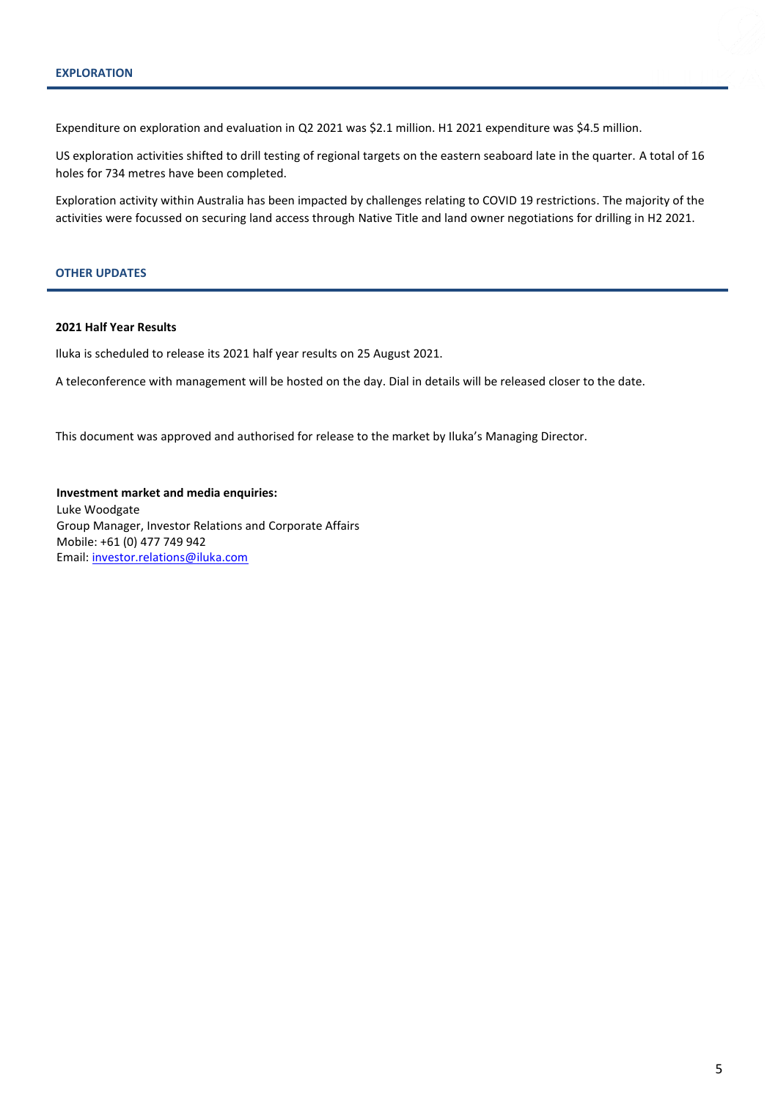Expenditure on exploration and evaluation in Q2 2021 was \$2.1 million. H1 2021 expenditure was \$4.5 million.

US exploration activities shifted to drill testing of regional targets on the eastern seaboard late in the quarter. A total of 16 holes for 734 metres have been completed.

Exploration activity within Australia has been impacted by challenges relating to COVID 19 restrictions. The majority of the activities were focussed on securing land access through Native Title and land owner negotiations for drilling in H2 2021.

#### **OTHER UPDATES**

#### **2021 Half Year Results**

Iluka is scheduled to release its 2021 half year results on 25 August 2021.

A teleconference with management will be hosted on the day. Dial in details will be released closer to the date.

This document was approved and authorised for release to the market by Iluka's Managing Director.

**Investment market and media enquiries:** Luke Woodgate Group Manager, Investor Relations and Corporate Affairs Mobile: +61 (0) 477 749 942 Email[: investor.relations@iluka.com](mailto:investor.relations@iluka.com)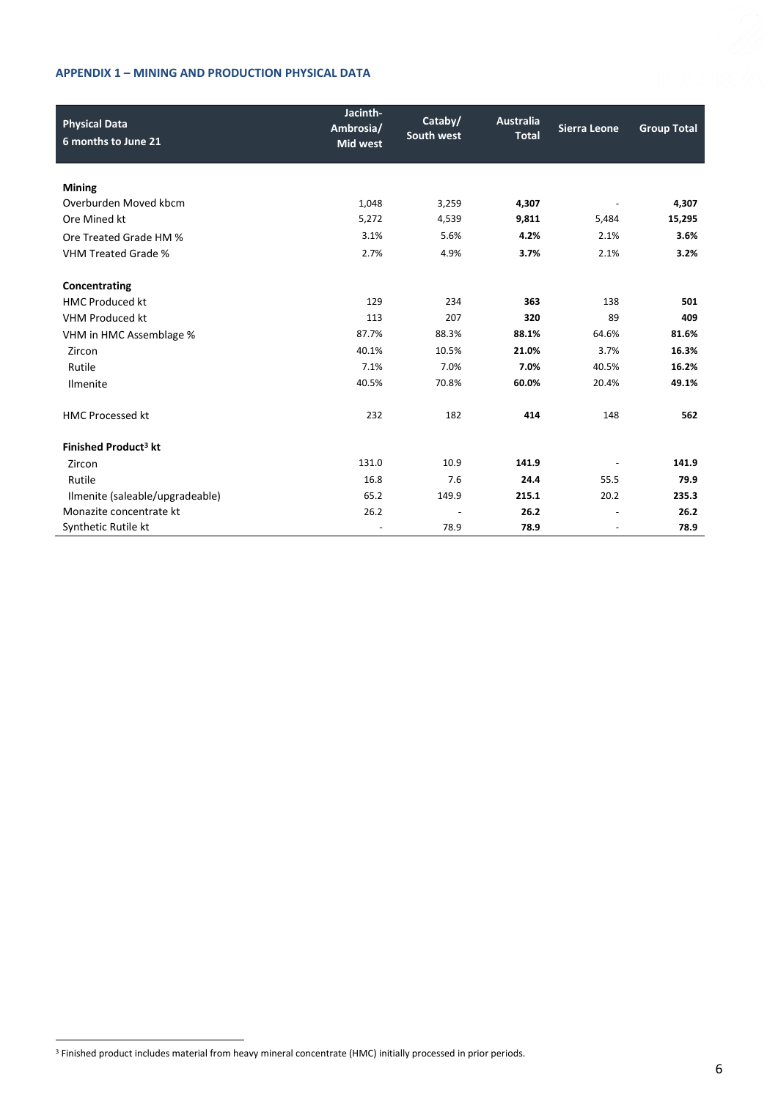## **APPENDIX 1 – MINING AND PRODUCTION PHYSICAL DATA**

| <b>Physical Data</b><br>6 months to June 21 | Jacinth-<br>Ambrosia/<br><b>Mid west</b> | Cataby/<br>South west | Australia<br><b>Total</b> | <b>Sierra Leone</b>      | <b>Group Total</b> |
|---------------------------------------------|------------------------------------------|-----------------------|---------------------------|--------------------------|--------------------|
|                                             |                                          |                       |                           |                          |                    |
| <b>Mining</b>                               |                                          |                       |                           |                          |                    |
| Overburden Moved kbcm                       | 1,048                                    | 3,259                 | 4,307                     |                          | 4,307              |
| Ore Mined kt                                | 5,272                                    | 4,539                 | 9,811                     | 5,484                    | 15,295             |
| Ore Treated Grade HM %                      | 3.1%                                     | 5.6%                  | 4.2%                      | 2.1%                     | 3.6%               |
| <b>VHM Treated Grade %</b>                  | 2.7%                                     | 4.9%                  | 3.7%                      | 2.1%                     | 3.2%               |
| Concentrating                               |                                          |                       |                           |                          |                    |
| <b>HMC Produced kt</b>                      | 129                                      | 234                   | 363                       | 138                      | 501                |
| <b>VHM Produced kt</b>                      | 113                                      | 207                   | 320                       | 89                       | 409                |
| VHM in HMC Assemblage %                     | 87.7%                                    | 88.3%                 | 88.1%                     | 64.6%                    | 81.6%              |
| Zircon                                      | 40.1%                                    | 10.5%                 | 21.0%                     | 3.7%                     | 16.3%              |
| Rutile                                      | 7.1%                                     | 7.0%                  | 7.0%                      | 40.5%                    | 16.2%              |
| Ilmenite                                    | 40.5%                                    | 70.8%                 | 60.0%                     | 20.4%                    | 49.1%              |
| <b>HMC Processed kt</b>                     | 232                                      | 182                   | 414                       | 148                      | 562                |
| Finished Product <sup>3</sup> kt            |                                          |                       |                           |                          |                    |
| Zircon                                      | 131.0                                    | 10.9                  | 141.9                     |                          | 141.9              |
| Rutile                                      | 16.8                                     | 7.6                   | 24.4                      | 55.5                     | 79.9               |
| Ilmenite (saleable/upgradeable)             | 65.2                                     | 149.9                 | 215.1                     | 20.2                     | 235.3              |
| Monazite concentrate kt                     | 26.2                                     |                       | 26.2                      | $\overline{\phantom{a}}$ | 26.2               |
| Synthetic Rutile kt                         |                                          | 78.9                  | 78.9                      |                          | 78.9               |

<sup>&</sup>lt;sup>3</sup> Finished product includes material from heavy mineral concentrate (HMC) initially processed in prior periods.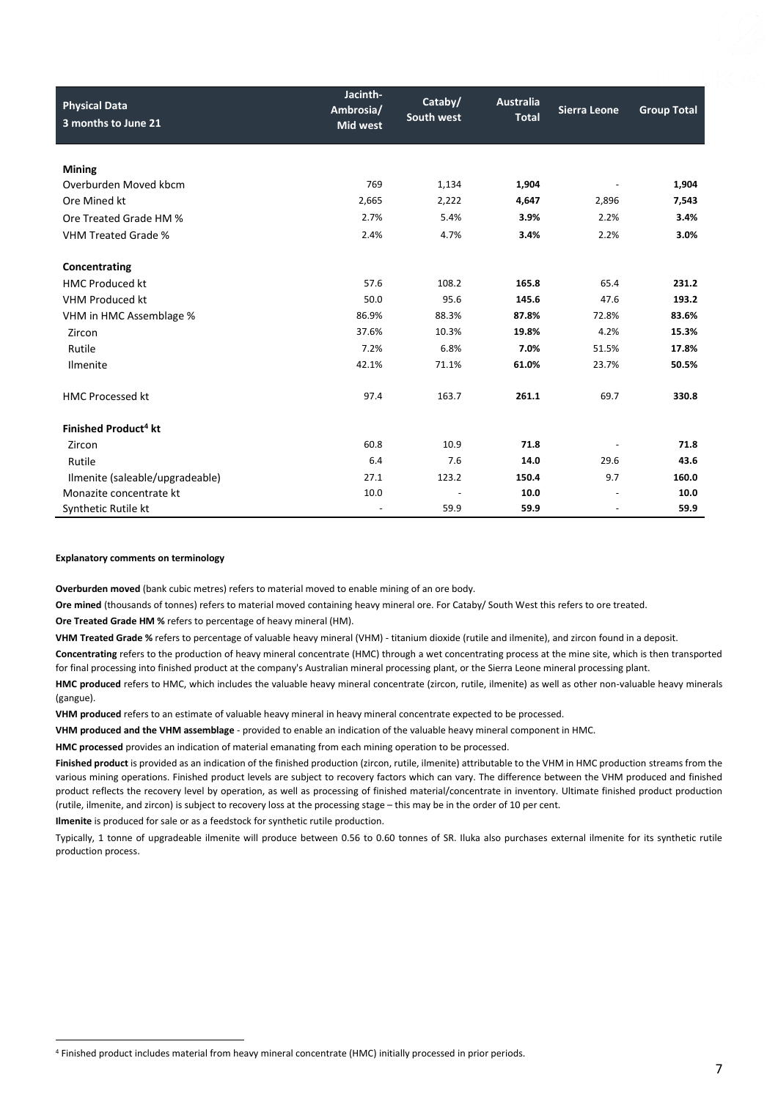| <b>Physical Data</b><br>3 months to June 21 | Jacinth-<br>Ambrosia/<br><b>Mid west</b> | Cataby/<br>South west | <b>Australia</b><br><b>Total</b> | <b>Sierra Leone</b>      | <b>Group Total</b> |
|---------------------------------------------|------------------------------------------|-----------------------|----------------------------------|--------------------------|--------------------|
| <b>Mining</b>                               |                                          |                       |                                  |                          |                    |
| Overburden Moved kbcm                       | 769                                      | 1,134                 | 1,904                            |                          | 1,904              |
| Ore Mined kt                                | 2,665                                    | 2,222                 | 4,647                            | 2,896                    | 7,543              |
| Ore Treated Grade HM %                      | 2.7%                                     | 5.4%                  | 3.9%                             | 2.2%                     | 3.4%               |
| <b>VHM Treated Grade %</b>                  | 2.4%                                     | 4.7%                  | 3.4%                             | 2.2%                     | 3.0%               |
|                                             |                                          |                       |                                  |                          |                    |
| Concentrating                               |                                          |                       |                                  |                          |                    |
| <b>HMC Produced kt</b>                      | 57.6                                     | 108.2                 | 165.8                            | 65.4                     | 231.2              |
| VHM Produced kt                             | 50.0                                     | 95.6                  | 145.6                            | 47.6                     | 193.2              |
| VHM in HMC Assemblage %                     | 86.9%                                    | 88.3%                 | 87.8%                            | 72.8%                    | 83.6%              |
| Zircon                                      | 37.6%                                    | 10.3%                 | 19.8%                            | 4.2%                     | 15.3%              |
| Rutile                                      | 7.2%                                     | 6.8%                  | 7.0%                             | 51.5%                    | 17.8%              |
| Ilmenite                                    | 42.1%                                    | 71.1%                 | 61.0%                            | 23.7%                    | 50.5%              |
| <b>HMC Processed kt</b>                     | 97.4                                     | 163.7                 | 261.1                            | 69.7                     | 330.8              |
| Finished Product <sup>4</sup> kt            |                                          |                       |                                  |                          |                    |
| Zircon                                      | 60.8                                     | 10.9                  | 71.8                             |                          | 71.8               |
| Rutile                                      | 6.4                                      | 7.6                   | 14.0                             | 29.6                     | 43.6               |
| Ilmenite (saleable/upgradeable)             | 27.1                                     | 123.2                 | 150.4                            | 9.7                      | 160.0              |
| Monazite concentrate kt                     | 10.0                                     |                       | 10.0                             | $\overline{\phantom{a}}$ | 10.0               |
| Synthetic Rutile kt                         |                                          | 59.9                  | 59.9                             |                          | 59.9               |

#### **Explanatory comments on terminology**

**Overburden moved** (bank cubic metres) refers to material moved to enable mining of an ore body.

**Ore mined** (thousands of tonnes) refers to material moved containing heavy mineral ore. For Cataby/ South West this refers to ore treated.

**Ore Treated Grade HM %** refers to percentage of heavy mineral (HM).

**VHM Treated Grade %** refers to percentage of valuable heavy mineral (VHM) - titanium dioxide (rutile and ilmenite), and zircon found in a deposit.

Concentrating refers to the production of heavy mineral concentrate (HMC) through a wet concentrating process at the mine site, which is then transported for final processing into finished product at the company's Australian mineral processing plant, or the Sierra Leone mineral processing plant.

**HMC produced** refers to HMC, which includes the valuable heavy mineral concentrate (zircon, rutile, ilmenite) as well as other non-valuable heavy minerals (gangue).

**VHM produced** refers to an estimate of valuable heavy mineral in heavy mineral concentrate expected to be processed.

**VHM produced and the VHM assemblage** - provided to enable an indication of the valuable heavy mineral component in HMC.

**HMC processed** provides an indication of material emanating from each mining operation to be processed.

**Finished product** is provided as an indication of the finished production (zircon, rutile, ilmenite) attributable to the VHM in HMC production streams from the various mining operations. Finished product levels are subject to recovery factors which can vary. The difference between the VHM produced and finished product reflects the recovery level by operation, as well as processing of finished material/concentrate in inventory. Ultimate finished product production (rutile, ilmenite, and zircon) is subject to recovery loss at the processing stage – this may be in the order of 10 per cent.

**Ilmenite** is produced for sale or as a feedstock for synthetic rutile production.

Typically, 1 tonne of upgradeable ilmenite will produce between 0.56 to 0.60 tonnes of SR. Iluka also purchases external ilmenite for its synthetic rutile production process.

<sup>4</sup> Finished product includes material from heavy mineral concentrate (HMC) initially processed in prior periods.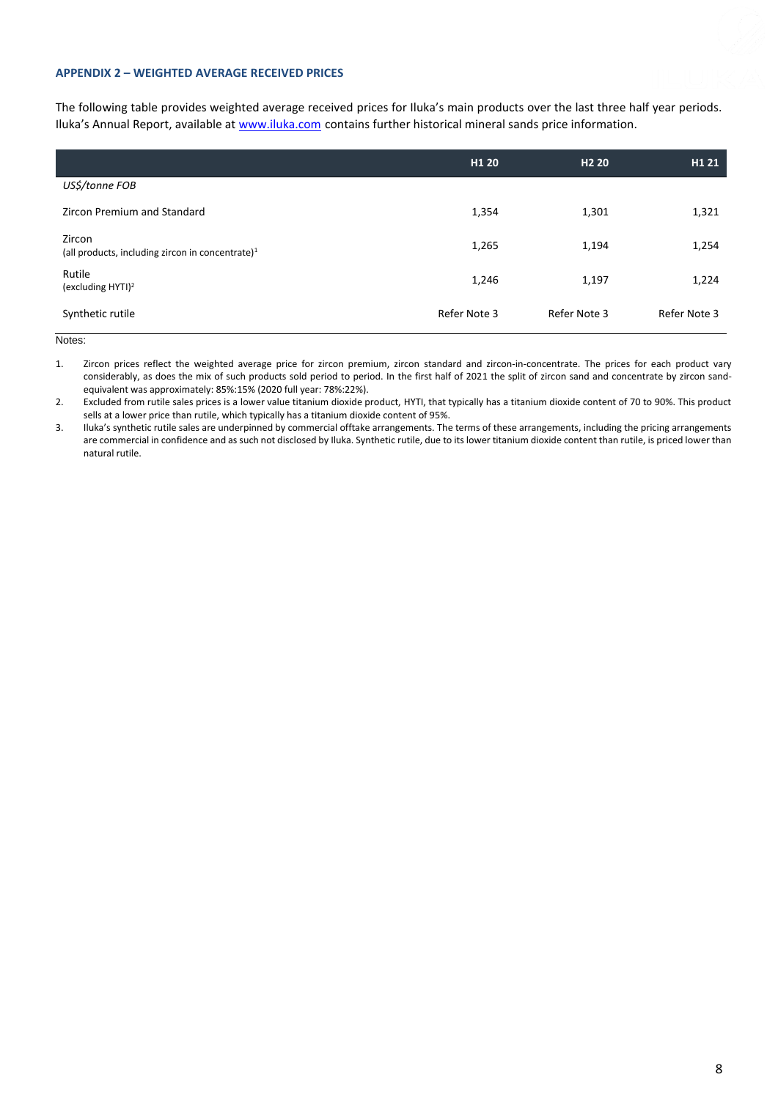#### **APPENDIX 2 – WEIGHTED AVERAGE RECEIVED PRICES**

The following table provides weighted average received prices for Iluka's main products over the last three half year periods. Iluka's Annual Report, available at [www.iluka.com](http://www.iluka.com/) contains further historical mineral sands price information.

|                                                               | H <sub>1</sub> 20 | H <sub>2</sub> 20 | H1 21        |
|---------------------------------------------------------------|-------------------|-------------------|--------------|
| US\$/tonne FOB                                                |                   |                   |              |
| Zircon Premium and Standard                                   | 1,354             | 1,301             | 1,321        |
| Zircon<br>(all products, including zircon in concentrate) $1$ | 1,265             | 1,194             | 1,254        |
| Rutile<br>(excluding HYTI) <sup>2</sup>                       | 1,246             | 1,197             | 1,224        |
| Synthetic rutile                                              | Refer Note 3      | Refer Note 3      | Refer Note 3 |

Notes:

1. Zircon prices reflect the weighted average price for zircon premium, zircon standard and zircon-in-concentrate. The prices for each product vary considerably, as does the mix of such products sold period to period. In the first half of 2021 the split of zircon sand and concentrate by zircon sandequivalent was approximately: 85%:15% (2020 full year: 78%:22%).

2. Excluded from rutile sales prices is a lower value titanium dioxide product, HYTI, that typically has a titanium dioxide content of 70 to 90%. This product sells at a lower price than rutile, which typically has a titanium dioxide content of 95%.

3. Iluka's synthetic rutile sales are underpinned by commercial offtake arrangements. The terms of these arrangements, including the pricing arrangements are commercial in confidence and as such not disclosed by Iluka. Synthetic rutile, due to its lower titanium dioxide content than rutile, is priced lower than natural rutile.